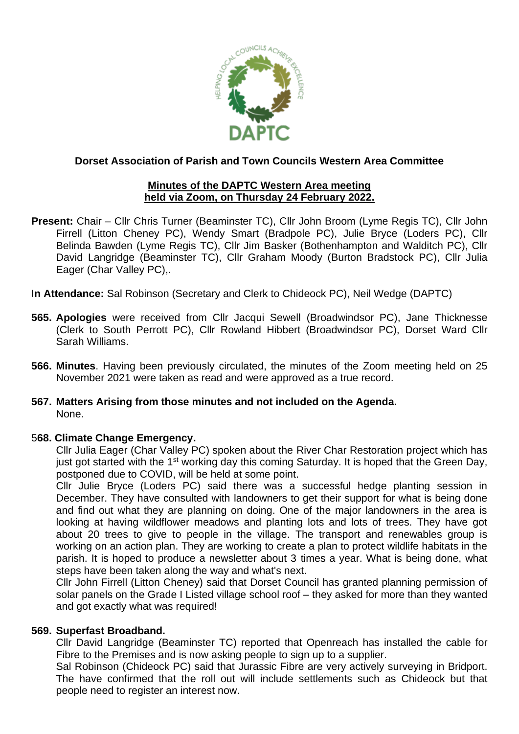

#### **Minutes of the DAPTC Western Area meeting held via Zoom, on Thursday 24 February 2022.**

**Present:** Chair – Cllr Chris Turner (Beaminster TC), Cllr John Broom (Lyme Regis TC), Cllr John Firrell (Litton Cheney PC), Wendy Smart (Bradpole PC), Julie Bryce (Loders PC), Cllr Belinda Bawden (Lyme Regis TC), Cllr Jim Basker (Bothenhampton and Walditch PC), Cllr David Langridge (Beaminster TC), Cllr Graham Moody (Burton Bradstock PC), Cllr Julia Eager (Char Valley PC),.

I**n Attendance:** Sal Robinson (Secretary and Clerk to Chideock PC), Neil Wedge (DAPTC)

- **565. Apologies** were received from Cllr Jacqui Sewell (Broadwindsor PC), Jane Thicknesse (Clerk to South Perrott PC), Cllr Rowland Hibbert (Broadwindsor PC), Dorset Ward Cllr Sarah Williams.
- **566. Minutes**. Having been previously circulated, the minutes of the Zoom meeting held on 25 November 2021 were taken as read and were approved as a true record.
- **567. Matters Arising from those minutes and not included on the Agenda.** None.

#### 5**68. Climate Change Emergency.**

Cllr Julia Eager (Char Valley PC) spoken about the River Char Restoration project which has just got started with the 1<sup>st</sup> working day this coming Saturday. It is hoped that the Green Day, postponed due to COVID, will be held at some point.

Cllr Julie Bryce (Loders PC) said there was a successful hedge planting session in December. They have consulted with landowners to get their support for what is being done and find out what they are planning on doing. One of the major landowners in the area is looking at having wildflower meadows and planting lots and lots of trees. They have got about 20 trees to give to people in the village. The transport and renewables group is working on an action plan. They are working to create a plan to protect wildlife habitats in the parish. It is hoped to produce a newsletter about 3 times a year. What is being done, what steps have been taken along the way and what's next.

Cllr John Firrell (Litton Cheney) said that Dorset Council has granted planning permission of solar panels on the Grade I Listed village school roof – they asked for more than they wanted and got exactly what was required!

#### **569. Superfast Broadband.**

Cllr David Langridge (Beaminster TC) reported that Openreach has installed the cable for Fibre to the Premises and is now asking people to sign up to a supplier.

Sal Robinson (Chideock PC) said that Jurassic Fibre are very actively surveying in Bridport. The have confirmed that the roll out will include settlements such as Chideock but that people need to register an interest now.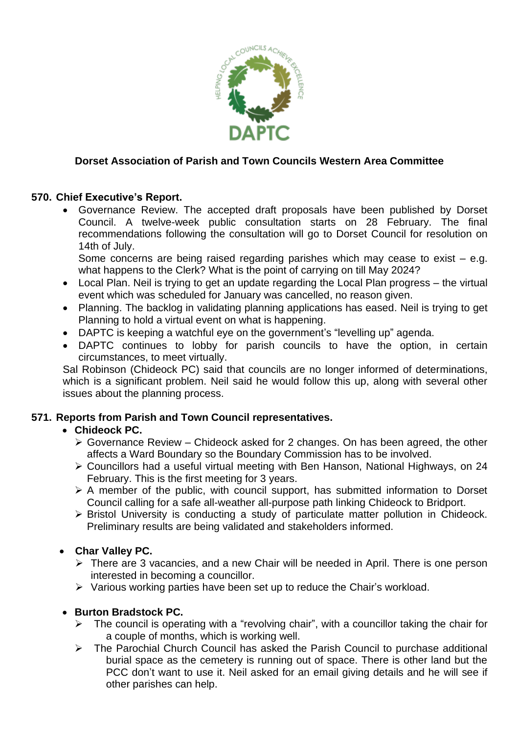

# **570. Chief Executive's Report.**

• Governance Review. The accepted draft proposals have been published by Dorset Council. A twelve-week public consultation starts on 28 February. The final recommendations following the consultation will go to Dorset Council for resolution on 14th of July.

Some concerns are being raised regarding parishes which may cease to exist  $-$  e.g. what happens to the Clerk? What is the point of carrying on till May 2024?

- Local Plan. Neil is trying to get an update regarding the Local Plan progress the virtual event which was scheduled for January was cancelled, no reason given.
- Planning. The backlog in validating planning applications has eased. Neil is trying to get Planning to hold a virtual event on what is happening.
- DAPTC is keeping a watchful eye on the government's "levelling up" agenda.
- DAPTC continues to lobby for parish councils to have the option, in certain circumstances, to meet virtually.

Sal Robinson (Chideock PC) said that councils are no longer informed of determinations, which is a significant problem. Neil said he would follow this up, along with several other issues about the planning process.

#### **571. Reports from Parish and Town Council representatives.**

# • **Chideock PC.**

- $\triangleright$  Governance Review Chideock asked for 2 changes. On has been agreed, the other affects a Ward Boundary so the Boundary Commission has to be involved.
- ➢ Councillors had a useful virtual meeting with Ben Hanson, National Highways, on 24 February. This is the first meeting for 3 years.
- ➢ A member of the public, with council support, has submitted information to Dorset Council calling for a safe all-weather all-purpose path linking Chideock to Bridport.
- ➢ Bristol University is conducting a study of particulate matter pollution in Chideock. Preliminary results are being validated and stakeholders informed.

# • **Char Valley PC.**

- ➢ There are 3 vacancies, and a new Chair will be needed in April. There is one person interested in becoming a councillor.
- ➢ Various working parties have been set up to reduce the Chair's workload.

# • **Burton Bradstock PC.**

- $\triangleright$  The council is operating with a "revolving chair", with a councillor taking the chair for a couple of months, which is working well.
- ➢ The Parochial Church Council has asked the Parish Council to purchase additional burial space as the cemetery is running out of space. There is other land but the PCC don't want to use it. Neil asked for an email giving details and he will see if other parishes can help.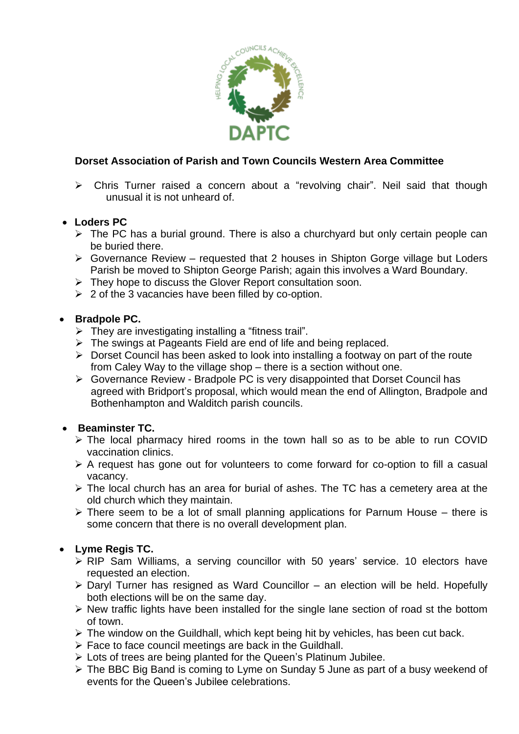

➢ Chris Turner raised a concern about a "revolving chair". Neil said that though unusual it is not unheard of.

# • **Loders PC**

- ➢ The PC has a burial ground. There is also a churchyard but only certain people can be buried there.
- ➢ Governance Review requested that 2 houses in Shipton Gorge village but Loders Parish be moved to Shipton George Parish; again this involves a Ward Boundary.
- ➢ They hope to discuss the Glover Report consultation soon.
- $\geq 2$  of the 3 vacancies have been filled by co-option.

#### • **Bradpole PC.**

- $\triangleright$  They are investigating installing a "fitness trail".
- ➢ The swings at Pageants Field are end of life and being replaced.
- ➢ Dorset Council has been asked to look into installing a footway on part of the route from Caley Way to the village shop – there is a section without one.
- ➢ Governance Review Bradpole PC is very disappointed that Dorset Council has agreed with Bridport's proposal, which would mean the end of Allington, Bradpole and Bothenhampton and Walditch parish councils.

# • **Beaminster TC.**

- ➢ The local pharmacy hired rooms in the town hall so as to be able to run COVID vaccination clinics.
- ➢ A request has gone out for volunteers to come forward for co-option to fill a casual vacancy.
- ➢ The local church has an area for burial of ashes. The TC has a cemetery area at the old church which they maintain.
- $\triangleright$  There seem to be a lot of small planning applications for Parnum House there is some concern that there is no overall development plan.

# • **Lyme Regis TC.**

- ➢ RIP Sam Williams, a serving councillor with 50 years' service. 10 electors have requested an election.
- ➢ Daryl Turner has resigned as Ward Councillor an election will be held. Hopefully both elections will be on the same day.
- ➢ New traffic lights have been installed for the single lane section of road st the bottom of town.
- ➢ The window on the Guildhall, which kept being hit by vehicles, has been cut back.
- ➢ Face to face council meetings are back in the Guildhall.
- $\triangleright$  Lots of trees are being planted for the Queen's Platinum Jubilee.
- ➢ The BBC Big Band is coming to Lyme on Sunday 5 June as part of a busy weekend of events for the Queen's Jubilee celebrations.